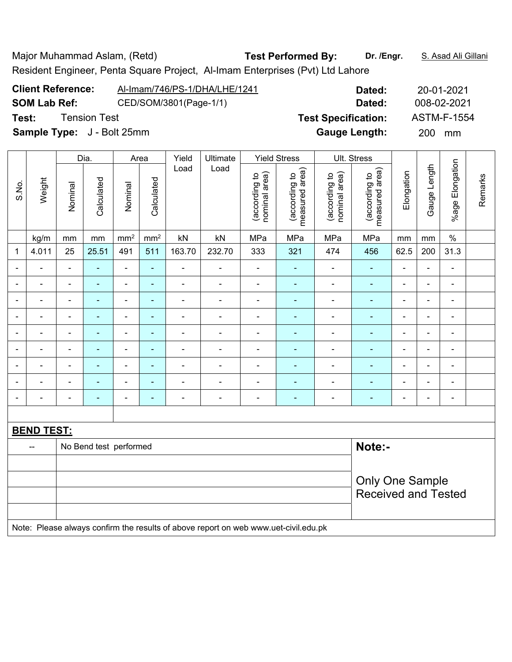| Major Muhammad Aslam, (Retd) |                                                                               | <b>Test Performed By:</b> | Dr. /Engr. | S. Asad Ali Gillani |
|------------------------------|-------------------------------------------------------------------------------|---------------------------|------------|---------------------|
|                              | Resident Engineer, Penta Square Project, Al-Imam Enterprises (Pvt) Ltd Lahore |                           |            |                     |
| <b>Client Reference:</b>     | Al-Imam/746/PS-1/DHA/LHE/1241                                                 |                           | Dated:     | 20-01-2021          |

| <b>PHILIP INCICLATION</b>         | APINGHI/PR/LOPINGHIC/IATI | Dated:                     | ZU-U I-ZUZ I       |
|-----------------------------------|---------------------------|----------------------------|--------------------|
| <b>SOM Lab Ref:</b>               | CED/SOM/3801(Page-1/1)    | Dated:                     | 008-02-2021        |
| Test:<br><b>Tension Test</b>      |                           | <b>Test Specification:</b> | <b>ASTM-F-1554</b> |
| <b>Sample Type:</b> J - Bolt 25mm |                           | <b>Gauge Length:</b>       | 200 mm             |
|                                   |                           |                            |                    |

|                          |                   |                          | Dia.                   |                          | Area            | Yield                    | Ultimate                                                                            | Ult. Stress                    |                                 |                                |                                 |                              |                |                          |         |
|--------------------------|-------------------|--------------------------|------------------------|--------------------------|-----------------|--------------------------|-------------------------------------------------------------------------------------|--------------------------------|---------------------------------|--------------------------------|---------------------------------|------------------------------|----------------|--------------------------|---------|
| S.No.                    | Weight            | Nominal                  | Calculated             | Nominal                  | Calculated      | Load                     | Load                                                                                | nominal area)<br>(according to | (according to<br>measured area) | nominal area)<br>(according to | measured area)<br>(according to | Elongation                   | Gauge Length   | %age Elongation          | Remarks |
|                          | kg/m              | mm                       | mm                     | mm <sup>2</sup>          | mm <sup>2</sup> | kN                       | kN                                                                                  | MPa                            | MPa                             | MPa                            | MPa                             | mm                           | mm             | $\%$                     |         |
| $\mathbf{1}$             | 4.011             | 25                       | 25.51                  | 491                      | 511             | 163.70                   | 232.70                                                                              | 333                            | 321                             | 474                            | 456                             | 62.5                         | 200            | 31.3                     |         |
|                          |                   | $\blacksquare$           | $\blacksquare$         | $\overline{a}$           | L.              | $\blacksquare$           | ä,                                                                                  | $\blacksquare$                 | $\blacksquare$                  | $\blacksquare$                 | $\frac{1}{2}$                   | $\blacksquare$               | $\blacksquare$ | $\blacksquare$           |         |
|                          |                   |                          |                        | $\blacksquare$           | ٠               | $\blacksquare$           | $\blacksquare$                                                                      | $\overline{\phantom{a}}$       |                                 | $\overline{a}$                 | ÷                               | $\qquad \qquad \blacksquare$ |                | $\blacksquare$           |         |
| $\blacksquare$           | -                 | $\overline{\phantom{0}}$ | $\blacksquare$         | $\blacksquare$           | ٠               | $\blacksquare$           | $\overline{\phantom{a}}$                                                            | $\blacksquare$                 | $\blacksquare$                  | $\blacksquare$                 | ٠                               | $\blacksquare$               | $\blacksquare$ | $\overline{\phantom{a}}$ |         |
| $\blacksquare$           | $\blacksquare$    | $\blacksquare$           | $\blacksquare$         | $\blacksquare$           | ÷,              | ÷                        | $\blacksquare$                                                                      | $\blacksquare$                 | $\blacksquare$                  | $\overline{\phantom{a}}$       | $\frac{1}{2}$                   | $\blacksquare$               | $\blacksquare$ | $\blacksquare$           |         |
| $\blacksquare$           | ÷                 | $\blacksquare$           | $\blacksquare$         | $\overline{\phantom{a}}$ | $\blacksquare$  | ÷                        | $\blacksquare$                                                                      | $\overline{\phantom{a}}$       | $\blacksquare$                  | $\blacksquare$                 | $\blacksquare$                  | $\overline{a}$               | $\blacksquare$ | $\blacksquare$           |         |
| ۰                        | ۰                 | $\blacksquare$           | $\blacksquare$         | $\blacksquare$           | ä,              | $\blacksquare$           | $\overline{\phantom{a}}$                                                            | $\overline{\phantom{a}}$       | $\blacksquare$                  | $\overline{\phantom{a}}$       | $\frac{1}{2}$                   | $\blacksquare$               | $\blacksquare$ | $\blacksquare$           |         |
|                          |                   |                          | $\blacksquare$         | ä,                       | L,              | $\blacksquare$           | ä,                                                                                  | $\blacksquare$                 | $\blacksquare$                  | ä,                             | ä,                              | $\blacksquare$               |                | ä,                       |         |
|                          |                   |                          | $\blacksquare$         | $\blacksquare$           | ÷               |                          | $\blacksquare$                                                                      | $\blacksquare$                 | $\overline{a}$                  | $\blacksquare$                 | $\overline{\phantom{0}}$        | $\blacksquare$               |                | $\blacksquare$           |         |
| $\overline{\phantom{0}}$ | ۳                 | $\blacksquare$           | $\blacksquare$         | $\blacksquare$           | ٠               | $\overline{\phantom{a}}$ | $\blacksquare$                                                                      | $\blacksquare$                 | $\blacksquare$                  | $\overline{a}$                 | ٠                               | $\blacksquare$               | $\blacksquare$ | $\blacksquare$           |         |
|                          |                   |                          |                        |                          |                 |                          |                                                                                     |                                |                                 |                                |                                 |                              |                |                          |         |
|                          | <b>BEND TEST:</b> |                          |                        |                          |                 |                          |                                                                                     |                                |                                 |                                |                                 |                              |                |                          |         |
|                          | $\overline{a}$    |                          | No Bend test performed |                          |                 |                          |                                                                                     |                                |                                 |                                | Note:-                          |                              |                |                          |         |
|                          |                   |                          |                        |                          |                 |                          |                                                                                     |                                |                                 |                                |                                 |                              |                |                          |         |
|                          |                   |                          |                        |                          |                 |                          |                                                                                     | <b>Only One Sample</b>         |                                 |                                |                                 |                              |                |                          |         |
|                          |                   |                          |                        |                          |                 |                          |                                                                                     |                                |                                 |                                | <b>Received and Tested</b>      |                              |                |                          |         |
|                          |                   |                          |                        |                          |                 |                          |                                                                                     |                                |                                 |                                |                                 |                              |                |                          |         |
|                          |                   |                          |                        |                          |                 |                          | Note: Please always confirm the results of above report on web www.uet-civil.edu.pk |                                |                                 |                                |                                 |                              |                |                          |         |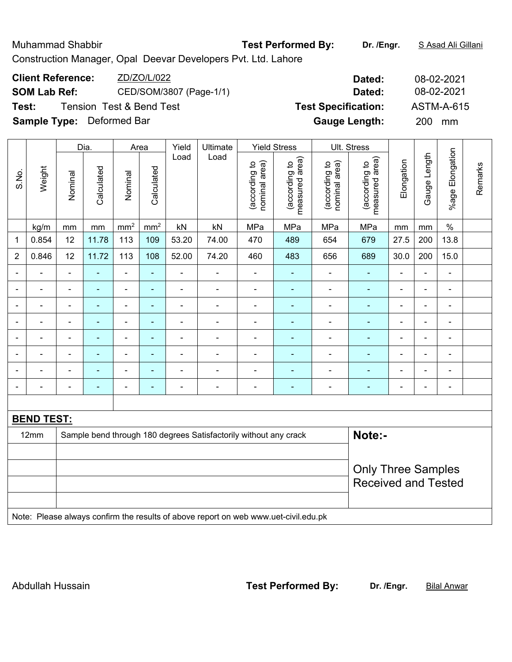|       | <b>Muhammad Shabbir</b>                         |                                                        |                                     |      |                                   |                                    | Construction Manager, Opal Deevar Developers Pvt. Ltd. Lahore |                                    | <b>Test Performed By:</b> |                 | Dr. /Engr.                                         |         |                          | S Asad Ali Gillani      |  |
|-------|-------------------------------------------------|--------------------------------------------------------|-------------------------------------|------|-----------------------------------|------------------------------------|---------------------------------------------------------------|------------------------------------|---------------------------|-----------------|----------------------------------------------------|---------|--------------------------|-------------------------|--|
|       | <b>Client Reference:</b><br><b>SOM Lab Ref:</b> |                                                        |                                     |      | ZD/ZO/L/022                       |                                    | CED/SOM/3807 (Page-1/1)                                       |                                    |                           |                 | Dated:<br>Dated:                                   |         | 08-02-2021<br>08-02-2021 |                         |  |
| Test: |                                                 |                                                        | <b>Tension Test &amp; Bend Test</b> |      |                                   |                                    |                                                               |                                    |                           |                 | <b>Test Specification:</b><br><b>Gauge Length:</b> |         | 200                      | <b>ASTM-A-615</b><br>mm |  |
|       | <b>Sample Type:</b> Deformed Bar                |                                                        |                                     |      |                                   |                                    |                                                               |                                    |                           |                 |                                                    |         |                          |                         |  |
|       |                                                 |                                                        | Dia.                                |      | Area                              | Yield                              | Ultimate                                                      |                                    | <b>Yield Stress</b>       |                 | Ult. Stress                                        |         |                          |                         |  |
| S.No. | Weight                                          | Load<br>Calculated<br>Calculated<br>Nominal<br>Nominal |                                     | Load | area)<br>(according to<br>nominal | area)<br>(according to<br>measured | area)<br>$\overline{c}$<br>(according<br>nominal              | area)<br>(according to<br>measured | Elongation                | Length<br>Gauge | Elongation<br>$%$ age                              | Remarks |                          |                         |  |

 $\vert$  kg/m  $\vert$  mm  $\vert$  mm<sup>2</sup>  $\vert$  mm<sup>2</sup>  $\vert$  kN  $\vert$  kN  $\vert$  MPa  $\vert$  MPa  $\vert$  MPa  $\vert$  mm  $\vert$  mm  $\vert$  % 1 | 0.854 | 12 | 11.78 | 113 | 109 | 53.20 | 74.00 | 470 | 489 | 654 | 679 | 27.5 | 200 | 13.8 2 | 0.846 | 12 | 11.72 | 113 | 108 | 52.00 | 74.20 | 460 | 483 | 656 | 689 | 30.0 | 200 | 15.0 - - - - - - - - - - - - - - - - - - - - - - - - - - - - - - - - - - - - - - - - - - - - - - - - - - - - - - - - - - - - - - - - - - - - - - - - - - - - - - - - - - - - - - - - - - - - - - - - - - - - - - - - - - - - - - - - - - - - - - - -

| <b>BEND TEST:</b> |                                                                                     |                                                         |
|-------------------|-------------------------------------------------------------------------------------|---------------------------------------------------------|
| $12 \text{mm}$    | Sample bend through 180 degrees Satisfactorily without any crack                    | Note:-                                                  |
|                   |                                                                                     | <b>Only Three Samples</b><br><b>Received and Tested</b> |
|                   | Note: Please always confirm the results of above report on web www.uet-civil.edu.pk |                                                         |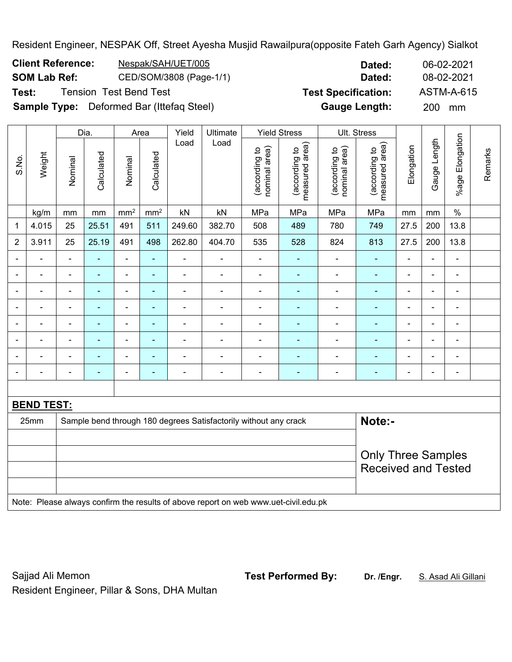Resident Engineer, NESPAK Off, Street Ayesha Musjid Rawailpura(opposite Fateh Garh Agency) Sialkot

| <b>Client Reference:</b> | Nespak/SAH/UET/005      | Dated:                     | 06-02-2021 |
|--------------------------|-------------------------|----------------------------|------------|
| SOM Lab Ref:             | CED/SOM/3808 (Page-1/1) | Dated:                     | 08-02-2021 |
| Test:                    | Tension  Test Bend Test | <b>Test Specification:</b> | ASTM-A-615 |

**Test Specification:** ASTM-A-615

Remarks

Remarks

**Sample Type:** Deformed Bar (Ittefaq Steel) **Gauge Length:** 200 mm Dia. | Area | Yield | Ultimate | Yield Stress | Ult. Stress %age Elongation %age Elongation Gauge Length Load Load Gauge Length (according to<br>measured area) measured area) measured area) (according to<br>nominal area) (according to<br>nominal area) (according to<br>measured area) nominal area) nominal area) **Elongation** Elongation (according to (according to (according to (according to **Calculated Calculated** Weight Calculated Calculated S.No. Nominal Nominal Nominal Nominal | kg/m | mm | mm | mm² | kN | kN | MPa | MPa | MPa | MPa | mm | mm | % 1 | 4.015 | 25 | 25.51 | 491 | 511 | 249.60 | 382.70 | 508 | 489 | 780 | 749 | 27.5 | 200 | 13.8 2 | 3.911 | 25 | 25.19 | 491 | 498 | 262.80 | 404.70 | 535 | 528 | 824 | 813 | 27.5 | 200 | 13.8 - - - - - - - - - - - - - - - - - - - - - - - - - - - - - - - - - - - - - - - - - - - - - - - - - - - - - - - - - - - - - - - - - - - - - - - - - - - - - - - - - - - - - - - - - - - - - - - - - - - - - - - - - - - - - - - - - - - - - - - - **BEND TEST:** 

| DENY IESI. |                                                                                     |                            |
|------------|-------------------------------------------------------------------------------------|----------------------------|
| 25mm       | Sample bend through 180 degrees Satisfactorily without any crack                    | Note:-                     |
|            |                                                                                     |                            |
|            |                                                                                     | <b>Only Three Samples</b>  |
|            |                                                                                     | <b>Received and Tested</b> |
|            |                                                                                     |                            |
|            | Note: Please always confirm the results of above report on web www.uet-civil.edu.pk |                            |

Sajjad Ali Memon **Test Performed By: Dr. /Engr.** S. Asad Ali Gillani Resident Engineer, Pillar & Sons, DHA Multan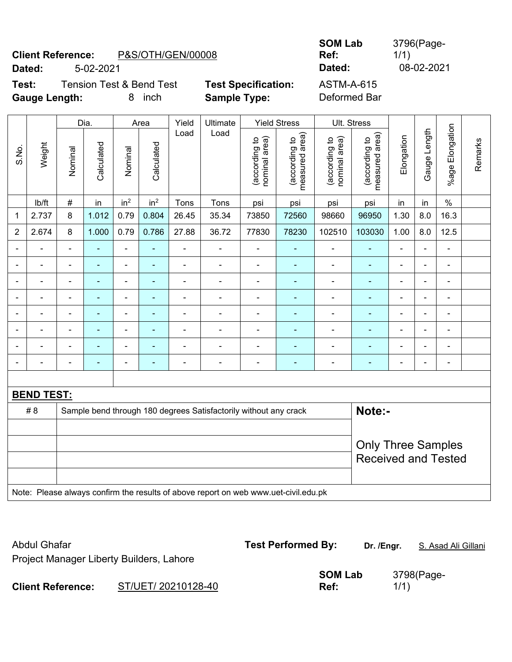# **Client Reference:** P&S/OTH/GEN/00008 **Dated:** 5-02-2021 **Dated:** 08-02-2021

| <b>SOM Lab</b> |  |
|----------------|--|
| Ref:           |  |
| natad:         |  |

3796(Page-1/1)

**Test:** Tension Test & Bend Test **Test Specification:** ASTM-A-615 **Gauge Length:** 8 inch **Sample Type:** Deformed Bar

|                |                   | Dia.<br>Ultimate<br><b>Yield Stress</b><br>Area<br>Yield |                |                              |                 |                |                                                                                     |                                |                                 |                                | Ult. Stress                     |                |                |                          |         |
|----------------|-------------------|----------------------------------------------------------|----------------|------------------------------|-----------------|----------------|-------------------------------------------------------------------------------------|--------------------------------|---------------------------------|--------------------------------|---------------------------------|----------------|----------------|--------------------------|---------|
| S.No.          | Weight            | Nominal                                                  | Calculated     | Nominal                      | Calculated      | Load           | Load                                                                                | nominal area)<br>(according to | (according to<br>measured area) | (according to<br>nominal area) | (according to<br>measured area) | Elongation     | Gauge Length   | %age Elongation          | Remarks |
|                | Ib/ft             | $\#$                                                     | in             | in <sup>2</sup>              | in <sup>2</sup> | Tons           | Tons                                                                                | psi                            | psi                             | psi                            | psi                             | in             | in             | $\%$                     |         |
| 1              | 2.737             | 8                                                        | 1.012          | 0.79                         | 0.804           | 26.45          | 35.34                                                                               | 73850                          | 72560                           | 98660                          | 96950                           | 1.30           | 8.0            | 16.3                     |         |
| $\overline{2}$ | 2.674             | 8                                                        | 1.000          | 0.79                         | 0.786           | 27.88          | 36.72                                                                               | 77830                          | 78230                           | 102510                         | 103030                          | 1.00           | 8.0            | 12.5                     |         |
|                |                   | $\blacksquare$                                           | $\blacksquare$ | $\overline{\phantom{a}}$     |                 | ä,             | ÷,                                                                                  |                                |                                 | $\blacksquare$                 |                                 |                | $\blacksquare$ | $\blacksquare$           |         |
|                |                   | $\overline{\phantom{0}}$                                 | $\blacksquare$ | $\blacksquare$               |                 | L,             | ÷.                                                                                  | $\blacksquare$                 | ۰                               | $\blacksquare$                 | ۰                               |                | $\blacksquare$ | $\blacksquare$           |         |
| $\blacksquare$ |                   | $\blacksquare$                                           | ÷              | $\qquad \qquad \blacksquare$ | ٠               | $\blacksquare$ | $\blacksquare$                                                                      | $\blacksquare$                 | ٠                               | $\blacksquare$                 | ÷                               | $\blacksquare$ | $\blacksquare$ | $\blacksquare$           |         |
|                | $\blacksquare$    | $\overline{\phantom{0}}$                                 | $\blacksquare$ | $\qquad \qquad \blacksquare$ | ٠               | Ē,             | ä,                                                                                  | $\qquad \qquad \blacksquare$   | ۰                               | $\overline{\phantom{a}}$       | ÷                               | $\blacksquare$ | $\blacksquare$ | $\overline{\phantom{a}}$ |         |
|                | $\blacksquare$    | $\blacksquare$                                           | $\blacksquare$ | $\blacksquare$               | $\blacksquare$  | $\blacksquare$ | ä,                                                                                  | $\blacksquare$                 | $\blacksquare$                  | $\blacksquare$                 | ÷                               | $\blacksquare$ | $\blacksquare$ | $\blacksquare$           |         |
|                |                   | $\blacksquare$                                           | ٠              | $\blacksquare$               |                 |                |                                                                                     |                                |                                 |                                |                                 |                |                | $\blacksquare$           |         |
|                |                   |                                                          |                | ÷                            |                 |                | ÷                                                                                   |                                |                                 |                                |                                 |                |                |                          |         |
|                |                   | $\blacksquare$                                           | ÷              | $\qquad \qquad \blacksquare$ | $\blacksquare$  | L,             | $\frac{1}{2}$                                                                       | $\blacksquare$                 | $\blacksquare$                  | $\blacksquare$                 | ÷                               | $\blacksquare$ | $\blacksquare$ | $\blacksquare$           |         |
|                |                   |                                                          |                |                              |                 |                |                                                                                     |                                |                                 |                                |                                 |                |                |                          |         |
|                | <b>BEND TEST:</b> |                                                          |                |                              |                 |                |                                                                                     |                                |                                 |                                |                                 |                |                |                          |         |
|                | # 8               |                                                          |                |                              |                 |                | Sample bend through 180 degrees Satisfactorily without any crack                    |                                |                                 |                                | Note:-                          |                |                |                          |         |
|                |                   |                                                          |                |                              |                 |                |                                                                                     |                                |                                 |                                |                                 |                |                |                          |         |
|                |                   | <b>Only Three Samples</b>                                |                |                              |                 |                |                                                                                     |                                |                                 |                                |                                 |                |                |                          |         |
|                |                   |                                                          |                |                              |                 |                |                                                                                     |                                |                                 |                                | <b>Received and Tested</b>      |                |                |                          |         |
|                |                   |                                                          |                |                              |                 |                |                                                                                     |                                |                                 |                                |                                 |                |                |                          |         |
|                |                   |                                                          |                |                              |                 |                | Note: Please always confirm the results of above report on web www.uet-civil.edu.pk |                                |                                 |                                |                                 |                |                |                          |         |

Abdul Ghafar **Test Performed By:** Dr. /Engr. **S. Asad Ali Gillani** Abdul Ghafar Project Manager Liberty Builders, Lahore **Client Reference:** ST/UET/ 20210128-40 **SOM Lab Ref:**  3798(Page-1/1)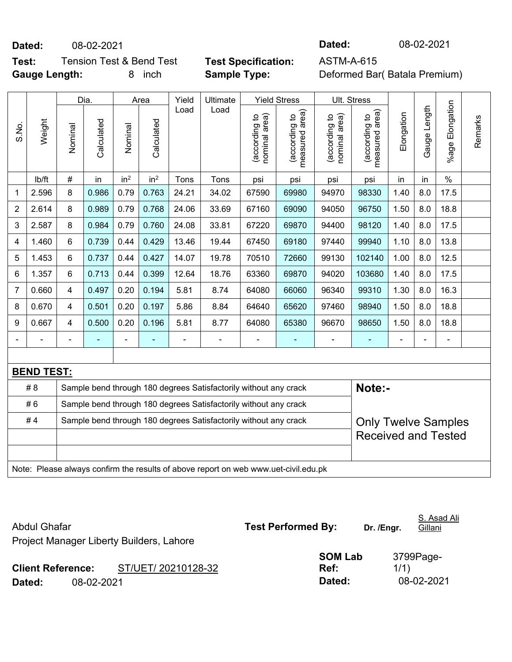**Dated:** 08-02-2021 **Dated:** 08-02-2021

**Test:** Tension Test & Bend Test **Test Specification:** ASTM-A-615 **Gauge Length:** 8 inch **Sample Type:** Deformed Bar( Batala Premium)

|                |                   |                                                                                                | Dia.       |                 | Area            | Yield          | Ultimate                                                                            |                                | <b>Yield Stress</b>             |                                | Ult. Stress                     |                              |                |                 |         |
|----------------|-------------------|------------------------------------------------------------------------------------------------|------------|-----------------|-----------------|----------------|-------------------------------------------------------------------------------------|--------------------------------|---------------------------------|--------------------------------|---------------------------------|------------------------------|----------------|-----------------|---------|
| S.No.          | Weight            | Nominal                                                                                        | Calculated | Nominal         | Calculated      | Load           | Load                                                                                | (according to<br>nominal area) | (according to<br>measured area) | (according to<br>nominal area) | measured area)<br>(according to | Elongation                   | Gauge Length   | %age Elongation | Remarks |
|                | lb/ft             | $\#$                                                                                           | in         | in <sup>2</sup> | in <sup>2</sup> | Tons           | Tons                                                                                | psi                            | psi                             | psi                            | psi                             | in                           | in             | $\frac{0}{0}$   |         |
| 1              | 2.596             | 8                                                                                              | 0.986      | 0.79            | 0.763           | 24.21          | 34.02                                                                               | 67590                          | 69980                           | 94970                          | 98330                           | 1.40                         | 8.0            | 17.5            |         |
| $\overline{2}$ | 2.614             | 8                                                                                              | 0.989      | 0.79            | 0.768           | 24.06          | 33.69                                                                               | 67160                          | 69090                           | 94050                          | 96750                           | 1.50                         | 8.0            | 18.8            |         |
| 3              | 2.587             | 8                                                                                              | 0.984      | 0.79            | 0.760           | 24.08          | 33.81                                                                               | 67220                          | 69870                           | 94400                          | 98120                           | 1.40                         | 8.0            | 17.5            |         |
| 4              | 1.460             | 6                                                                                              | 0.739      | 0.44            | 0.429           | 13.46          | 19.44                                                                               | 67450                          | 69180                           | 97440                          | 99940                           | 1.10                         | 8.0            | 13.8            |         |
| 5              | 1.453             | $\,6\,$                                                                                        | 0.737      | 0.44            | 0.427           | 14.07          | 19.78                                                                               | 70510                          | 72660                           | 99130                          | 102140                          | 1.00                         | 8.0            | 12.5            |         |
| 6              | 1.357             | $6\phantom{1}$                                                                                 | 0.713      | 0.44            | 0.399           | 12.64          | 18.76                                                                               | 63360                          | 69870                           | 94020                          | 103680                          | 1.40                         | 8.0            | 17.5            |         |
| 7              | 0.660             | $\overline{4}$                                                                                 | 0.497      | 0.20            | 0.194           | 5.81           | 8.74                                                                                | 64080                          | 66060                           | 96340                          | 99310                           | 1.30                         | 8.0            | 16.3            |         |
| 8              | 0.670             | $\overline{4}$                                                                                 | 0.501      | 0.20            | 0.197           | 5.86           | 8.84                                                                                | 64640                          | 65620                           | 97460                          | 98940                           | 1.50                         | 8.0            | 18.8            |         |
| 9              | 0.667             | 4                                                                                              | 0.500      | 0.20            | 0.196           | 5.81           | 8.77                                                                                | 64080                          | 65380                           | 96670                          | 98650                           | 1.50                         | 8.0            | 18.8            |         |
|                |                   | $\blacksquare$                                                                                 |            | ÷,              | ÷               | $\blacksquare$ | $\overline{\phantom{a}}$                                                            | $\overline{\phantom{a}}$       | $\blacksquare$                  | $\blacksquare$                 | ۰                               | $\qquad \qquad \blacksquare$ | $\blacksquare$ | $\blacksquare$  |         |
|                |                   |                                                                                                |            |                 |                 |                |                                                                                     |                                |                                 |                                |                                 |                              |                |                 |         |
|                | <b>BEND TEST:</b> |                                                                                                |            |                 |                 |                |                                                                                     |                                |                                 |                                |                                 |                              |                |                 |         |
|                | # 8               |                                                                                                |            |                 |                 |                | Sample bend through 180 degrees Satisfactorily without any crack                    |                                |                                 |                                | Note:-                          |                              |                |                 |         |
|                | #6                |                                                                                                |            |                 |                 |                | Sample bend through 180 degrees Satisfactorily without any crack                    |                                |                                 |                                |                                 |                              |                |                 |         |
|                | #4                | Sample bend through 180 degrees Satisfactorily without any crack<br><b>Only Twelve Samples</b> |            |                 |                 |                |                                                                                     |                                |                                 |                                |                                 |                              |                |                 |         |
|                |                   |                                                                                                |            |                 |                 |                |                                                                                     |                                |                                 |                                | <b>Received and Tested</b>      |                              |                |                 |         |
|                |                   |                                                                                                |            |                 |                 |                |                                                                                     |                                |                                 |                                |                                 |                              |                |                 |         |
|                |                   |                                                                                                |            |                 |                 |                | Note: Please always confirm the results of above report on web www.uet-civil.edu.pk |                                |                                 |                                |                                 |                              |                |                 |         |

Abdul Ghafar **Test Performed By:** Dr. /Engr. S. Asad Ali Gillani Project Manager Liberty Builders, Lahore **Client Reference:** ST/UET/ 20210128-32 **SOM Lab Ref:**  3799Page-1/1) **Dated:** 08-02-2021 **Dated:** 08-02-2021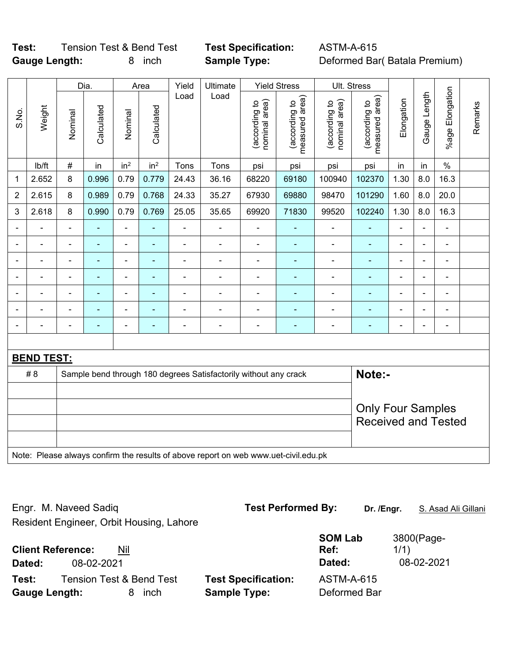# **Test:** Tension Test & Bend Test **Test Specification:** ASTM-A-615 **Gauge Length:** 8 inch **Sample Type:** Deformed Bar( Batala Premium)

|       |                   |                | Dia.           |                 | Area            | Yield          | Ultimate                                                                            |                                | <b>Yield Stress</b>             | Ult. Stress                    |                                 |                |                          |                          |         |
|-------|-------------------|----------------|----------------|-----------------|-----------------|----------------|-------------------------------------------------------------------------------------|--------------------------------|---------------------------------|--------------------------------|---------------------------------|----------------|--------------------------|--------------------------|---------|
| S.No. | Weight            | Nominal        | Calculated     | Nominal         | Calculated      | Load           | Load                                                                                | nominal area)<br>(according to | measured area)<br>(according to | nominal area)<br>(according to | measured area)<br>(according to | Elongation     | Gauge Length             | %age Elongation          | Remarks |
|       | lb/ft             | $\#$           | in             | in <sup>2</sup> | in <sup>2</sup> | Tons           | Tons                                                                                | psi                            | psi                             | psi                            | psi                             | in             | in                       | $\%$                     |         |
| 1     | 2.652             | 8              | 0.996          | 0.79            | 0.779           | 24.43          | 36.16                                                                               | 68220                          | 69180                           | 100940                         | 102370                          | 1.30           | 8.0                      | 16.3                     |         |
| 2     | 2.615             | 8              | 0.989          | 0.79            | 0.768           | 24.33          | 35.27                                                                               | 67930                          | 69880                           | 98470                          | 101290                          | 1.60           | 8.0                      | 20.0                     |         |
| 3     | 2.618             | 8              | 0.990          | 0.79            | 0.769           | 25.05          | 35.65                                                                               | 69920                          | 71830                           | 99520                          | 102240                          | 1.30           | 8.0                      | 16.3                     |         |
|       |                   |                | $\blacksquare$ | $\blacksquare$  | ÷               | $\overline{a}$ | ÷,                                                                                  | ä,                             | $\blacksquare$                  | $\blacksquare$                 | ä,                              |                |                          | L,                       |         |
|       |                   |                | ä,             | $\blacksquare$  |                 | ä,             | $\blacksquare$                                                                      | $\blacksquare$                 | $\blacksquare$                  | $\blacksquare$                 | ٠                               |                |                          | ä,                       |         |
|       |                   |                |                | ۰               |                 | $\blacksquare$ | $\blacksquare$                                                                      |                                |                                 | $\blacksquare$                 |                                 |                |                          |                          |         |
|       |                   |                |                | ۰               | ۰               | $\blacksquare$ | $\blacksquare$                                                                      | $\blacksquare$                 |                                 | -                              | ۰                               | $\blacksquare$ |                          | $\blacksquare$           |         |
|       |                   | $\blacksquare$ | $\blacksquare$ | ÷,              | $\blacksquare$  | $\overline{a}$ | ÷,                                                                                  | ä,                             | $\overline{\phantom{a}}$        | $\blacksquare$                 | Ξ                               | $\blacksquare$ | $\overline{\phantom{0}}$ | $\blacksquare$           |         |
|       |                   |                | ÷,             | $\blacksquare$  |                 | $\overline{a}$ | $\blacksquare$                                                                      |                                |                                 | $\overline{a}$                 | ÷                               |                | $\overline{a}$           | $\blacksquare$           |         |
|       | $\blacksquare$    | $\blacksquare$ | $\blacksquare$ | ÷,              | ۰               |                | $\blacksquare$                                                                      | $\overline{a}$                 | $\blacksquare$                  | -                              | ٠                               | $\blacksquare$ |                          | $\overline{\phantom{a}}$ |         |
|       |                   |                |                |                 |                 |                |                                                                                     |                                |                                 |                                |                                 |                |                          |                          |         |
|       | <b>BEND TEST:</b> |                |                |                 |                 |                |                                                                                     |                                |                                 |                                |                                 |                |                          |                          |         |
|       | #8                |                |                |                 |                 |                | Sample bend through 180 degrees Satisfactorily without any crack                    |                                |                                 |                                | Note:-                          |                |                          |                          |         |
|       |                   |                |                |                 |                 |                |                                                                                     |                                |                                 |                                |                                 |                |                          |                          |         |
|       |                   |                |                |                 |                 |                |                                                                                     |                                |                                 |                                | <b>Only Four Samples</b>        |                |                          |                          |         |
|       |                   |                |                |                 |                 |                |                                                                                     |                                |                                 |                                | <b>Received and Tested</b>      |                |                          |                          |         |
|       |                   |                |                |                 |                 |                |                                                                                     |                                |                                 |                                |                                 |                |                          |                          |         |
|       |                   |                |                |                 |                 |                | Note: Please always confirm the results of above report on web www.uet-civil.edu.pk |                                |                                 |                                |                                 |                |                          |                          |         |

Engr. M. Naveed Sadiq **Test Performed By: Dr. /Engr.** S. Asad Ali Gillani Resident Engineer, Orbit Housing, Lahore **Client Reference:** Nil **SOM Lab Ref:**  3800(Page-1/1) **Dated:** 08-02-2021 **Dated:** 08-02-2021 **Test:** Tension Test & Bend Test **Test Specification:** ASTM-A-615 **Gauge Length:** 8 inch **Sample Type:** Deformed Bar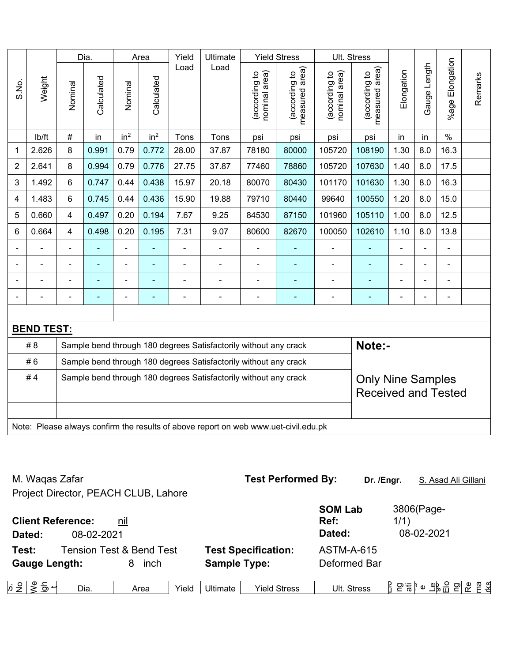|                |                   |                                                                                     | Dia.                                                             |                 | Area            | Yield<br>Ultimate |                                                                  |                                | <b>Yield Stress</b>                         |                                | Ult. Stress                     |            |                |                          |         |
|----------------|-------------------|-------------------------------------------------------------------------------------|------------------------------------------------------------------|-----------------|-----------------|-------------------|------------------------------------------------------------------|--------------------------------|---------------------------------------------|--------------------------------|---------------------------------|------------|----------------|--------------------------|---------|
| S.No.          | Weight            | Nominal                                                                             | Calculated                                                       | Nominal         | Calculated      | Load              | Load                                                             | nominal area)<br>(according to | (according to<br>neasured area)<br>measured | nominal area)<br>(according to | (according to<br>measured area) | Elongation | Gauge Length   | %age Elongation          | Remarks |
|                | lb/ft             | $\#$                                                                                | in                                                               | in <sup>2</sup> | in <sup>2</sup> | Tons              | Tons                                                             | psi                            | psi                                         | psi                            | psi                             | in         | in             | $\%$                     |         |
| 1              | 2.626             | 8                                                                                   | 0.991                                                            | 0.79            | 0.772           | 28.00             | 37.87                                                            | 78180                          | 80000                                       | 105720                         | 108190                          | 1.30       | 8.0            | 16.3                     |         |
| $\overline{2}$ | 2.641             | 8                                                                                   | 0.994                                                            | 0.79            | 0.776           | 27.75             | 37.87                                                            | 77460                          | 78860                                       | 105720                         | 107630                          | 1.40       | 8.0            | 17.5                     |         |
| 3              | 1.492             | 6                                                                                   | 0.747                                                            | 0.44            | 0.438           | 15.97             | 20.18                                                            | 80070                          | 80430                                       | 101170                         | 101630                          | 1.30       | 8.0            | 16.3                     |         |
| 4              | 1.483             | 6                                                                                   | 0.745                                                            | 0.44            | 0.436           | 15.90             | 19.88                                                            | 79710                          | 80440                                       | 99640                          | 100550                          | 1.20       | 8.0            | 15.0                     |         |
| 5              | 0.660             | 4                                                                                   | 0.497                                                            | 0.20            | 0.194           | 7.67              | 9.25                                                             | 84530                          | 87150                                       | 101960                         | 105110                          | 1.00       | 8.0            | 12.5                     |         |
| 6              | 0.664             | 4                                                                                   | 0.498                                                            | 0.20            | 0.195           | 7.31              | 9.07                                                             | 80600                          | 82670                                       | 100050                         | 102610                          | 1.10       | 8.0            | 13.8                     |         |
|                | ÷.                | $\blacksquare$                                                                      | ä,                                                               | $\frac{1}{2}$   |                 | ä,                | ÷                                                                |                                | $\overline{\phantom{0}}$                    | ÷,                             | ÷,                              | ä,         | $\overline{a}$ | ä,                       |         |
|                | $\blacksquare$    |                                                                                     | $\blacksquare$                                                   | $\blacksquare$  |                 | L,                | $\blacksquare$                                                   | $\blacksquare$                 | ٠                                           | $\blacksquare$                 |                                 |            | L,             | $\blacksquare$           |         |
|                |                   |                                                                                     |                                                                  | -               |                 |                   | $\blacksquare$                                                   |                                | $\blacksquare$                              |                                | ۰                               |            |                |                          |         |
|                |                   |                                                                                     |                                                                  | ÷               |                 | L,                | $\blacksquare$                                                   |                                | ÷                                           |                                |                                 |            | $\blacksquare$ | $\overline{\phantom{a}}$ |         |
|                |                   |                                                                                     |                                                                  |                 |                 |                   |                                                                  |                                |                                             |                                |                                 |            |                |                          |         |
|                | <b>BEND TEST:</b> |                                                                                     |                                                                  |                 |                 |                   |                                                                  |                                |                                             |                                |                                 |            |                |                          |         |
|                | # 8               |                                                                                     |                                                                  |                 |                 |                   | Sample bend through 180 degrees Satisfactorily without any crack |                                |                                             |                                | Note:-                          |            |                |                          |         |
|                | #6                |                                                                                     |                                                                  |                 |                 |                   | Sample bend through 180 degrees Satisfactorily without any crack |                                |                                             |                                |                                 |            |                |                          |         |
|                | #4                |                                                                                     | Sample bend through 180 degrees Satisfactorily without any crack |                 |                 |                   | <b>Only Nine Samples</b>                                         |                                |                                             |                                |                                 |            |                |                          |         |
|                |                   |                                                                                     |                                                                  |                 |                 |                   |                                                                  |                                |                                             |                                | <b>Received and Tested</b>      |            |                |                          |         |
|                |                   |                                                                                     |                                                                  |                 |                 |                   |                                                                  |                                |                                             |                                |                                 |            |                |                          |         |
|                |                   | Note: Please always confirm the results of above report on web www.uet-civil.edu.pk |                                                                  |                 |                 |                   |                                                                  |                                |                                             |                                |                                 |            |                |                          |         |

| M. Waqas Zafar                                   |                                     | <b>Test Performed By:</b>       | Dr. /Engr.                       | S. Asad Ali Gillani              |
|--------------------------------------------------|-------------------------------------|---------------------------------|----------------------------------|----------------------------------|
| Project Director, PEACH CLUB, Lahore             |                                     |                                 |                                  |                                  |
| <b>Client Reference:</b><br>08-02-2021<br>Dated: | <u>nil</u>                          |                                 | <b>SOM Lab</b><br>Ref:<br>Dated: | 3806(Page-<br>1/1)<br>08-02-2021 |
| Test:                                            | <b>Tension Test &amp; Bend Test</b> | <b>Test Specification:</b>      | <b>ASTM-A-615</b>                |                                  |
| <b>Gauge Length:</b>                             | 8<br>inch                           | <b>Sample Type:</b>             | Deformed Bar                     |                                  |
| 등 +<br>$\frac{1}{2}$<br>Dia.                     | Yield<br>Area                       | <b>Yield Stress</b><br>Ultimate | Ult. Stress                      | កឧ<br>tks<br>ድ<br>β 은흥ያ ◎ %} 음 은 |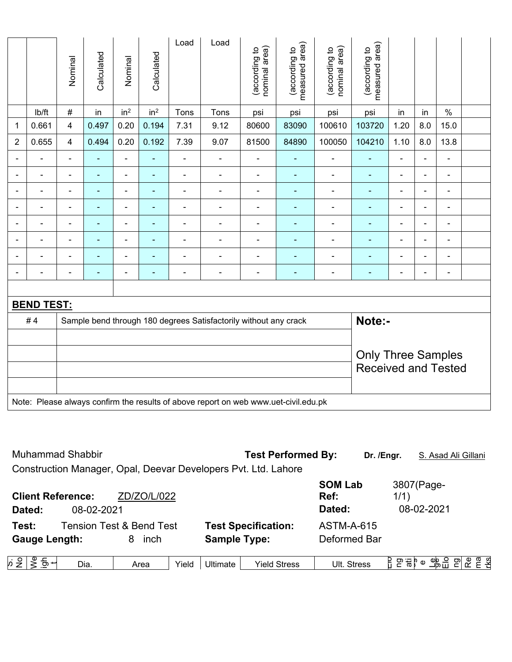|                          |                   | Nominal        | Calculated               | Nominal                  | Calculated      | Load           | Load                                                                                | (according to<br>nominal area) | (according to<br>measured area) | (according to<br>nominal area) | measured area)<br>(according to |                |                          |                          |  |
|--------------------------|-------------------|----------------|--------------------------|--------------------------|-----------------|----------------|-------------------------------------------------------------------------------------|--------------------------------|---------------------------------|--------------------------------|---------------------------------|----------------|--------------------------|--------------------------|--|
|                          | Ib/ft             | #              | in                       | in <sup>2</sup>          | in <sup>2</sup> | Tons           | Tons                                                                                | psi                            | psi                             | psi                            | psi                             | in             | in                       | $\%$                     |  |
| 1                        | 0.661             | 4              | 0.497                    | 0.20                     | 0.194           | 7.31           | 9.12                                                                                | 80600                          | 83090                           | 100610                         | 103720                          | 1.20           | 8.0                      | 15.0                     |  |
| $\overline{2}$           | 0.655             | 4              | 0.494                    | 0.20                     | 0.192           | 7.39           | 9.07                                                                                | 81500                          | 84890                           | 100050                         | 104210                          | 1.10           | 8.0                      | 13.8                     |  |
|                          |                   | $\blacksquare$ | ÷                        | ä,                       | $\blacksquare$  | ÷              | $\blacksquare$                                                                      | $\blacksquare$                 | $\blacksquare$                  | $\blacksquare$                 | $\blacksquare$                  | $\blacksquare$ | $\blacksquare$           | $\blacksquare$           |  |
|                          | $\blacksquare$    | $\blacksquare$ | ۰                        | ÷,                       | ٠               | $\blacksquare$ | $\overline{\phantom{a}}$                                                            | $\blacksquare$                 | ۰                               | $\blacksquare$                 | $\blacksquare$                  | $\blacksquare$ | $\blacksquare$           | $\blacksquare$           |  |
| $\overline{\phantom{0}}$ | $\blacksquare$    | $\blacksquare$ | $\overline{\phantom{0}}$ | ۰                        | $\blacksquare$  | $\blacksquare$ | $\overline{\phantom{a}}$                                                            | $\blacksquare$                 | ۰                               | $\blacksquare$                 | $\blacksquare$                  | $\blacksquare$ | $\overline{\phantom{a}}$ | $\overline{\phantom{a}}$ |  |
|                          | $\blacksquare$    | $\blacksquare$ | $\blacksquare$           | $\blacksquare$           | ٠               | ä,             | $\blacksquare$                                                                      | $\blacksquare$                 | ٠                               | $\blacksquare$                 | $\blacksquare$                  | $\blacksquare$ | ä,                       | $\blacksquare$           |  |
|                          |                   |                | $\blacksquare$           | ۰                        | ÷               | $\blacksquare$ | $\overline{a}$                                                                      |                                | ÷                               |                                | ۳                               |                | $\blacksquare$           | $\blacksquare$           |  |
| $\blacksquare$           | $\blacksquare$    | $\blacksquare$ | ۰                        | $\blacksquare$           | ٠               | ä,             | $\overline{\phantom{a}}$                                                            | $\blacksquare$                 | ÷                               | $\blacksquare$                 | $\blacksquare$                  | $\blacksquare$ | $\blacksquare$           | $\blacksquare$           |  |
| $\overline{\phantom{0}}$ | $\blacksquare$    | $\blacksquare$ | ۰                        | $\overline{\phantom{a}}$ | ٠               | $\blacksquare$ | $\overline{\phantom{a}}$                                                            | $\blacksquare$                 | $\blacksquare$                  | $\overline{\phantom{0}}$       | $\blacksquare$                  | $\blacksquare$ | $\blacksquare$           | $\overline{\phantom{a}}$ |  |
|                          | $\blacksquare$    | $\blacksquare$ | ۰                        | $\blacksquare$           | ۰               | $\blacksquare$ | $\overline{\phantom{a}}$                                                            | $\blacksquare$                 | $\blacksquare$                  | $\blacksquare$                 | ٠                               | $\blacksquare$ | $\blacksquare$           | $\overline{\phantom{a}}$ |  |
|                          |                   |                |                          |                          |                 |                |                                                                                     |                                |                                 |                                |                                 |                |                          |                          |  |
|                          | <b>BEND TEST:</b> |                |                          |                          |                 |                |                                                                                     |                                |                                 |                                |                                 |                |                          |                          |  |
|                          | #4                |                |                          |                          |                 |                | Sample bend through 180 degrees Satisfactorily without any crack                    |                                |                                 |                                | Note:-                          |                |                          |                          |  |
|                          |                   |                |                          |                          |                 |                |                                                                                     |                                |                                 |                                |                                 |                |                          |                          |  |
|                          |                   |                |                          |                          |                 |                |                                                                                     |                                |                                 |                                | <b>Only Three Samples</b>       |                |                          |                          |  |
|                          |                   |                |                          |                          |                 |                |                                                                                     |                                |                                 |                                | <b>Received and Tested</b>      |                |                          |                          |  |
|                          |                   |                |                          |                          |                 |                |                                                                                     |                                |                                 |                                |                                 |                |                          |                          |  |
|                          |                   |                |                          |                          |                 |                | Note: Please always confirm the results of above report on web www.uet-civil.edu.pk |                                |                                 |                                |                                 |                |                          |                          |  |

| <b>Muhammad Shabbir</b>            |            |                                                  |       |                     | <b>Test Performed By:</b>                                      | Dr. /Engr.                        |         | S. Asad Ali Gillani      |   |                |
|------------------------------------|------------|--------------------------------------------------|-------|---------------------|----------------------------------------------------------------|-----------------------------------|---------|--------------------------|---|----------------|
|                                    |            |                                                  |       |                     | Construction Manager, Opal, Deevar Developers Pvt. Ltd. Lahore |                                   |         |                          |   |                |
| <b>Client Reference:</b><br>Dated: | 08-02-2021 | ZD/ZO/L/022                                      |       |                     |                                                                | <b>SOM Lab</b><br>Ref:<br>Dated:  | 1/1)    | 3807(Page-<br>08-02-2021 |   |                |
| Test:<br><b>Gauge Length:</b>      |            | <b>Tension Test &amp; Bend Test</b><br>inch<br>8 |       | <b>Sample Type:</b> | <b>Test Specification:</b>                                     | <b>ASTM-A-615</b><br>Deformed Bar |         |                          |   |                |
| , ೨∣ ತಿ<br>등 +                     | Dia.       | Area                                             | Yield | Ultimate            | <b>Yield Stress</b>                                            | Ult. Stress                       | ρ ∺ β စ | ____<br>그p급 ___          | ൙ | <u>ក្ខ ខ្ន</u> |

S.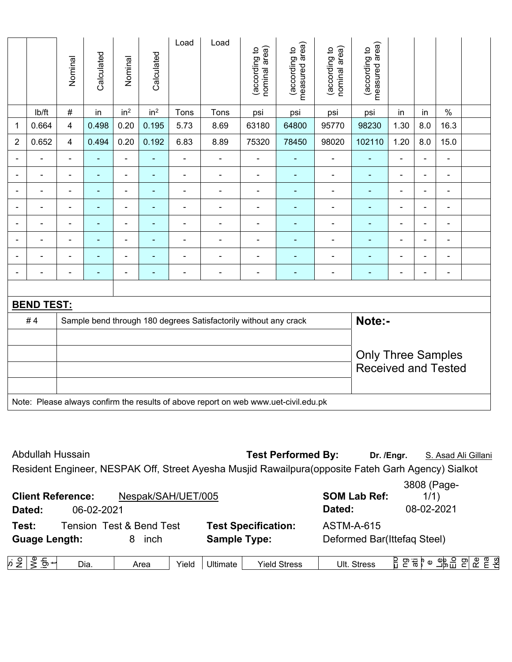|                                            |                     |                                                         |                                  |                                            |                          |                      | Note: Please always confirm the results of above report on web www.uet-civil.edu.pk |                                  |                                 |                                |                                  |                          |                                  |                |  |
|--------------------------------------------|---------------------|---------------------------------------------------------|----------------------------------|--------------------------------------------|--------------------------|----------------------|-------------------------------------------------------------------------------------|----------------------------------|---------------------------------|--------------------------------|----------------------------------|--------------------------|----------------------------------|----------------|--|
|                                            |                     | <b>Only Three Samples</b><br><b>Received and Tested</b> |                                  |                                            |                          |                      |                                                                                     |                                  |                                 |                                |                                  |                          |                                  |                |  |
|                                            |                     |                                                         |                                  |                                            |                          |                      |                                                                                     |                                  |                                 |                                |                                  |                          |                                  |                |  |
|                                            | #4                  |                                                         |                                  |                                            |                          |                      | Sample bend through 180 degrees Satisfactorily without any crack                    |                                  |                                 |                                | Note:-                           |                          |                                  |                |  |
|                                            | <b>BEND TEST:</b>   |                                                         |                                  |                                            |                          |                      |                                                                                     |                                  |                                 |                                |                                  |                          |                                  |                |  |
|                                            |                     |                                                         |                                  |                                            |                          |                      |                                                                                     |                                  |                                 |                                |                                  |                          |                                  |                |  |
| $\overline{\phantom{0}}$                   | ÷                   |                                                         |                                  | $\overline{\phantom{a}}$                   |                          | ä,                   | ÷                                                                                   | $\blacksquare$                   | $\blacksquare$                  | -                              | $\blacksquare$                   | $\blacksquare$           | $\blacksquare$                   | ÷              |  |
| $\overline{\phantom{0}}$                   | $\blacksquare$      | $\blacksquare$                                          | $\overline{\phantom{0}}$         | $\blacksquare$                             | $\overline{\phantom{0}}$ | $\blacksquare$       | $\blacksquare$                                                                      | $\blacksquare$                   | $\overline{\phantom{0}}$        | ٠                              | $\overline{\phantom{0}}$         | $\overline{\phantom{0}}$ | $\blacksquare$                   | -              |  |
|                                            |                     |                                                         |                                  | ٠                                          |                          |                      |                                                                                     | ٠                                |                                 | ÷                              |                                  |                          | $\overline{\phantom{0}}$         |                |  |
|                                            | ÷                   |                                                         | $\blacksquare$                   | -                                          |                          | ä,                   |                                                                                     | ٠                                | ٠                               | ÷                              | $\blacksquare$                   | ٠                        | $\blacksquare$                   | $\blacksquare$ |  |
| $\blacksquare$<br>$\overline{\phantom{0}}$ | ÷<br>$\blacksquare$ | $\blacksquare$<br>$\blacksquare$                        | $\blacksquare$<br>$\blacksquare$ | $\blacksquare$<br>$\overline{\phantom{a}}$ | ٠                        | ä,<br>$\blacksquare$ | $\blacksquare$<br>$\blacksquare$                                                    | $\blacksquare$<br>$\blacksquare$ | ٠<br>$\blacksquare$             | ÷<br>÷                         | $\blacksquare$<br>$\blacksquare$ | ÷<br>$\blacksquare$      | $\blacksquare$<br>$\blacksquare$ | Ξ.<br>-        |  |
|                                            | -                   |                                                         |                                  | ۰                                          |                          |                      |                                                                                     | ٠                                |                                 | ۰                              | $\blacksquare$                   |                          | $\overline{\phantom{0}}$         | -              |  |
| $\blacksquare$                             | ÷                   | $\blacksquare$                                          | $\blacksquare$                   | $\overline{\phantom{a}}$                   | ٠                        | $\blacksquare$       | $\blacksquare$                                                                      | $\blacksquare$                   | $\blacksquare$                  | -                              | $\blacksquare$                   | $\blacksquare$           | $\blacksquare$                   | ÷              |  |
| $\overline{2}$                             | 0.652               | 4                                                       | 0.494                            | 0.20                                       | 0.192                    | 6.83                 | 8.89                                                                                | 75320                            | 78450                           | 98020                          | 102110                           | 1.20                     | 8.0                              | 15.0           |  |
| 1                                          | 0.664               | 4                                                       | 0.498                            | 0.20                                       | 0.195                    | 5.73                 | 8.69                                                                                | 63180                            | 64800                           | 95770                          | 98230                            | 1.30                     | 8.0                              | 16.3           |  |
|                                            | lb/ft               | #                                                       | in                               | in <sup>2</sup>                            | in <sup>2</sup>          | Tons                 | Tons                                                                                | psi                              | psi                             | psi                            | psi                              | in                       | in                               | $\%$           |  |
|                                            |                     | Nominal                                                 | Calculated                       | Nominal                                    | Calculated               | Load                 | Load                                                                                | nominal area)<br>(according to   | measured area)<br>(according to | nominal area)<br>(according to | measured area)<br>(according to  |                          |                                  |                |  |

| Abdullah Hussain         |                    | <b>Test Performed By:</b>                                                                           | Dr. /Enar. | S. Asad Ali Gillani |
|--------------------------|--------------------|-----------------------------------------------------------------------------------------------------|------------|---------------------|
|                          |                    | Resident Engineer, NESPAK Off, Street Ayesha Musjid Rawailpura (opposite Fateh Garh Agency) Sialkot |            |                     |
|                          |                    |                                                                                                     |            | 3808 (Page-         |
| <b>Client Reference:</b> | Nespak/SAH/UET/005 | <b>SOM Lab Ref:</b>                                                                                 |            | 1/1)                |
|                          |                    |                                                                                                     |            | 0.000000            |

| Dated:                   | 06-02-2021 |                          |                            | Dated:     | 08-02-2021                                                              |  |
|--------------------------|------------|--------------------------|----------------------------|------------|-------------------------------------------------------------------------|--|
| Test:                    |            | Tension Test & Bend Test | <b>Test Specification:</b> | ASTM-A-615 |                                                                         |  |
| <b>Guage Length:</b>     |            | inch                     | <b>Sample Type:</b>        |            | Deformed Bar(Ittefag Steel)                                             |  |
| $\sim$ 0 $\sim$ 0 $\sim$ |            |                          |                            |            | $\sim$ $\sim$ $\sim$ $\sim$ $\sim$ $\sim$ $\sim$ $\sim$<br>$\sim  \sim$ |  |

| Area<br>Yield<br>Dia.<br>Yield<br>stress<br>--<br>ωT<br>∟י תם<br>.<br>,,<br>-- | đ١<br>$\ddot{\,}$ |  | . . | Ultimate | $\cdot$<br>$\sim$ | Ult<br><b>Stress</b> | $\mathbf{D}$ | ΦD<br>כס | တ၊ | m<br>ω<br>G) |
|--------------------------------------------------------------------------------|-------------------|--|-----|----------|-------------------|----------------------|--------------|----------|----|--------------|
|--------------------------------------------------------------------------------|-------------------|--|-----|----------|-------------------|----------------------|--------------|----------|----|--------------|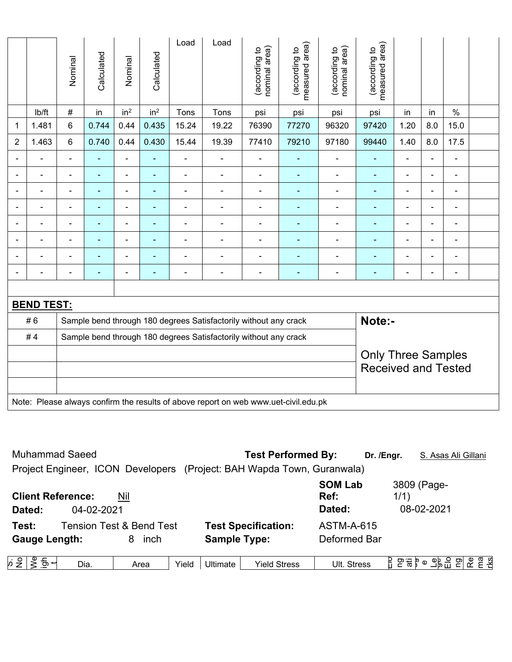|                          |                   |                           |                                                                  |                          |                 |                |                                                                  |                                |                                 |                                | <b>Received and Tested</b>      |                          |                |                          |  |
|--------------------------|-------------------|---------------------------|------------------------------------------------------------------|--------------------------|-----------------|----------------|------------------------------------------------------------------|--------------------------------|---------------------------------|--------------------------------|---------------------------------|--------------------------|----------------|--------------------------|--|
|                          |                   | <b>Only Three Samples</b> |                                                                  |                          |                 |                |                                                                  |                                |                                 |                                |                                 |                          |                |                          |  |
|                          | #4                |                           | Sample bend through 180 degrees Satisfactorily without any crack |                          |                 |                |                                                                  |                                |                                 |                                |                                 |                          |                |                          |  |
|                          | #6                |                           |                                                                  |                          |                 |                | Sample bend through 180 degrees Satisfactorily without any crack |                                |                                 |                                | Note:-                          |                          |                |                          |  |
|                          | <b>BEND TEST:</b> |                           |                                                                  |                          |                 |                |                                                                  |                                |                                 |                                |                                 |                          |                |                          |  |
|                          |                   |                           |                                                                  |                          |                 |                |                                                                  |                                |                                 |                                |                                 |                          |                |                          |  |
| $\blacksquare$           | $\overline{a}$    |                           |                                                                  | $\blacksquare$           |                 |                |                                                                  | $\blacksquare$                 | ÷                               | $\blacksquare$                 |                                 | $\blacksquare$           |                | $\overline{\phantom{a}}$ |  |
| $\overline{\phantom{0}}$ | $\overline{a}$    | $\overline{\phantom{0}}$  | ۳                                                                | $\overline{\phantom{0}}$ | $\blacksquare$  | $\blacksquare$ | $\blacksquare$                                                   | $\blacksquare$                 | $\overline{\phantom{0}}$        | $\overline{\phantom{0}}$       | $\qquad \qquad \blacksquare$    | $\overline{\phantom{0}}$ | $\blacksquare$ | $\blacksquare$           |  |
|                          |                   |                           |                                                                  | $\overline{\phantom{0}}$ |                 |                |                                                                  |                                |                                 |                                |                                 | ٠                        |                | ٠                        |  |
|                          | $\blacksquare$    |                           | ÷                                                                | $\blacksquare$           | $\blacksquare$  | $\blacksquare$ |                                                                  |                                | $\overline{\phantom{a}}$        | $\blacksquare$                 |                                 |                          |                | $\blacksquare$           |  |
| $\blacksquare$           | $\blacksquare$    | $\blacksquare$            | $\blacksquare$                                                   | $\blacksquare$           | $\blacksquare$  | $\blacksquare$ | $\blacksquare$                                                   | $\blacksquare$                 | $\blacksquare$                  | $\blacksquare$                 | ٠                               | $\blacksquare$           | $\blacksquare$ | $\blacksquare$           |  |
| $\blacksquare$           | $\blacksquare$    | $\blacksquare$            | ä,                                                               | $\blacksquare$           | $\blacksquare$  | $\blacksquare$ | $\blacksquare$                                                   | $\blacksquare$                 | $\overline{\phantom{a}}$        | $\blacksquare$                 | $\blacksquare$                  | $\blacksquare$           | $\blacksquare$ | $\blacksquare$           |  |
|                          | -                 |                           |                                                                  | $\blacksquare$           |                 |                |                                                                  |                                |                                 |                                | $\blacksquare$                  |                          |                | $\overline{\phantom{0}}$ |  |
| $\blacksquare$           | $\blacksquare$    | $\blacksquare$            | $\blacksquare$                                                   | $\blacksquare$           | $\blacksquare$  | $\blacksquare$ | $\blacksquare$                                                   | $\blacksquare$                 | $\blacksquare$                  | $\blacksquare$                 | $\blacksquare$                  | $\blacksquare$           | $\blacksquare$ | $\overline{\phantom{a}}$ |  |
| $\overline{2}$           | 1.463             | 6                         | 0.740                                                            | 0.44                     | 0.430           | 15.44          | 19.39                                                            | 77410                          | 79210                           | 97180                          | 99440                           | 1.40                     | 8.0            | 17.5                     |  |
| 1                        | 1.481             | 6                         | 0.744                                                            | 0.44                     | 0.435           | 15.24          | 19.22                                                            | 76390                          | 77270                           | 96320                          | 97420                           | 1.20                     | 8.0            | 15.0                     |  |
|                          | lb/ft             | $\#$                      | in                                                               | in <sup>2</sup>          | in <sup>2</sup> | Tons           | Tons                                                             | psi                            | psi                             | psi                            | psi                             | in                       | in             | $\%$                     |  |
|                          |                   | Nominal                   | Calculated                                                       | Nominal                  | Calculated      | Load           | Load                                                             | nominal area)<br>(according to | (according to<br>measured area) | nominal area)<br>(according to | (according to<br>measured area) |                          |                |                          |  |

| <b>Muhammad Saeed</b>                                                  |       |                     | <b>Test Performed By:</b>  |                                  | Dr. /Engr.                      | S. Asas Ali Gillani       |                 |
|------------------------------------------------------------------------|-------|---------------------|----------------------------|----------------------------------|---------------------------------|---------------------------|-----------------|
| Project Engineer, ICON Developers (Project: BAH Wapda Town, Guranwala) |       |                     |                            |                                  |                                 |                           |                 |
| <b>Client Reference:</b><br>Nil<br>04-02-2021<br>Dated:                |       |                     |                            | <b>SOM Lab</b><br>Ref:<br>Dated: | 1/1)                            | 3809 (Page-<br>08-02-2021 |                 |
| <b>Tension Test &amp; Bend Test</b><br>Test:                           |       |                     | <b>Test Specification:</b> | <b>ASTM-A-615</b>                |                                 |                           |                 |
| <b>Gauge Length:</b><br>inch<br>8                                      |       | <b>Sample Type:</b> |                            | Deformed Bar                     |                                 |                           |                 |
|                                                                        |       |                     |                            |                                  |                                 |                           |                 |
| $\frac{1}{2}$ $\frac{1}{2}$<br>등 +<br>Dia.<br>Area                     | Yield | Ultimate            | Yield Stress               | Ult. Stress                      | Н<br>$\Xi$ 품 $\Gamma$ $\circ$ . | 과업                        | na<br>Ks<br>의 운 |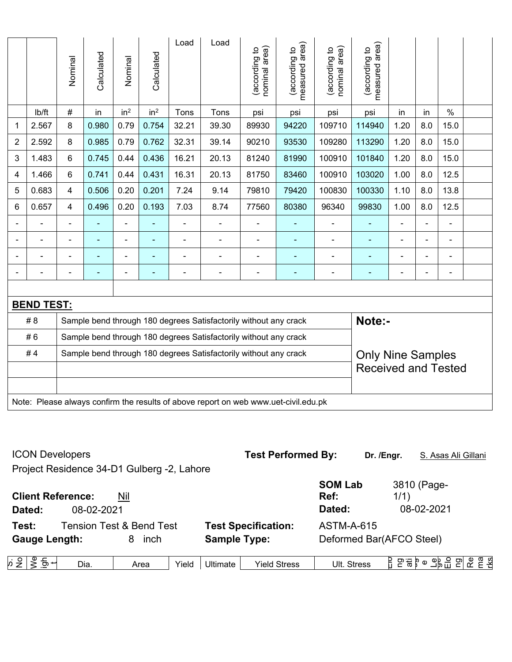|                |                   | Nominal        | Calculated | Nominal         | Calculated      | Load           | Load                                                                                | nominal area)<br>(according to | measured area)<br>(according to | nominal area)<br>(according to | measured area)<br>(according to |                          |                |                |  |
|----------------|-------------------|----------------|------------|-----------------|-----------------|----------------|-------------------------------------------------------------------------------------|--------------------------------|---------------------------------|--------------------------------|---------------------------------|--------------------------|----------------|----------------|--|
|                | lb/ft             | $\#$           | in         | in <sup>2</sup> | in <sup>2</sup> | Tons           | Tons                                                                                | psi                            | psi                             | psi                            | psi                             | in                       | in             | $\%$           |  |
| 1              | 2.567             | 8              | 0.980      | 0.79            | 0.754           | 32.21          | 39.30                                                                               | 89930                          | 94220                           | 109710                         | 114940                          | 1.20                     | 8.0            | 15.0           |  |
| $\overline{2}$ | 2.592             | 8              | 0.985      | 0.79            | 0.762           | 32.31          | 39.14                                                                               | 90210                          | 93530                           | 109280                         | 113290                          | 1.20                     | 8.0            | 15.0           |  |
| 3              | 1.483             | 6              | 0.745      | 0.44            | 0.436           | 16.21          | 20.13                                                                               | 81240                          | 81990                           | 100910                         | 101840                          | 1.20                     | 8.0            | 15.0           |  |
| 4              | 1.466             | 6              | 0.741      | 0.44            | 0.431           | 16.31          | 20.13                                                                               | 81750                          | 83460                           | 100910                         | 103020                          | 1.00                     | 8.0            | 12.5           |  |
| 5              | 0.683             | 4              | 0.506      | 0.20            | 0.201           | 7.24           | 9.14                                                                                | 79810                          | 79420                           | 100830                         | 100330                          | 1.10                     | 8.0            | 13.8           |  |
| 6              | 0.657             | 4              | 0.496      | 0.20            | 0.193           | 7.03           | 8.74                                                                                | 77560                          | 80380                           | 96340                          | 99830                           | 1.00                     | 8.0            | 12.5           |  |
| $\blacksquare$ | $\blacksquare$    | $\blacksquare$ | ä,         | $\overline{a}$  |                 | L,             |                                                                                     | $\blacksquare$                 | $\blacksquare$                  | $\blacksquare$                 | ÷                               | ÷                        | ÷,             | $\blacksquare$ |  |
| $\blacksquare$ | $\blacksquare$    | ä,             | ä,         | ۰               | ۰               | $\overline{a}$ | $\overline{\phantom{a}}$                                                            | $\overline{\phantom{a}}$       | $\blacksquare$                  | $\overline{\phantom{a}}$       | ÷                               | $\blacksquare$           | $\blacksquare$ | $\blacksquare$ |  |
|                |                   |                |            | ۰               |                 |                |                                                                                     |                                | $\blacksquare$                  | $\blacksquare$                 |                                 |                          |                | $\blacksquare$ |  |
| $\blacksquare$ |                   | $\overline{a}$ |            | $\overline{a}$  |                 | -              | $\overline{\phantom{0}}$                                                            | $\overline{\phantom{0}}$       | $\overline{\phantom{0}}$        | $\blacksquare$                 | -                               | $\overline{\phantom{0}}$ | -              | $\blacksquare$ |  |
|                |                   |                |            |                 |                 |                |                                                                                     |                                |                                 |                                |                                 |                          |                |                |  |
|                | <b>BEND TEST:</b> |                |            |                 |                 |                |                                                                                     |                                |                                 |                                |                                 |                          |                |                |  |
|                | # 8               |                |            |                 |                 |                | Sample bend through 180 degrees Satisfactorily without any crack                    |                                |                                 |                                | Note:-                          |                          |                |                |  |
|                | #6                |                |            |                 |                 |                | Sample bend through 180 degrees Satisfactorily without any crack                    |                                |                                 |                                |                                 |                          |                |                |  |
|                | #4                |                |            |                 |                 |                | Sample bend through 180 degrees Satisfactorily without any crack                    |                                |                                 |                                | <b>Only Nine Samples</b>        |                          |                |                |  |
|                |                   |                |            |                 |                 |                |                                                                                     |                                |                                 |                                | <b>Received and Tested</b>      |                          |                |                |  |
|                |                   |                |            |                 |                 |                |                                                                                     |                                |                                 |                                |                                 |                          |                |                |  |
|                |                   |                |            |                 |                 |                | Note: Please always confirm the results of above report on web www.uet-civil.edu.pk |                                |                                 |                                |                                 |                          |                |                |  |

| <b>ICON Developers</b>                           |                                     |                     | <b>Test Performed By:</b>  |                                  | Dr. /Engr. | S. Asas Ali Gillani                                                                                                                        |
|--------------------------------------------------|-------------------------------------|---------------------|----------------------------|----------------------------------|------------|--------------------------------------------------------------------------------------------------------------------------------------------|
| Project Residence 34-D1 Gulberg -2, Lahore       |                                     |                     |                            |                                  |            |                                                                                                                                            |
| <b>Client Reference:</b><br>08-02-2021<br>Dated: | Nil                                 |                     |                            | <b>SOM Lab</b><br>Ref:<br>Dated: | 1/1)       | 3810 (Page-<br>08-02-2021                                                                                                                  |
| Test:                                            | <b>Tension Test &amp; Bend Test</b> |                     | <b>Test Specification:</b> | <b>ASTM-A-615</b>                |            |                                                                                                                                            |
| <b>Gauge Length:</b>                             | inch<br>8                           | <b>Sample Type:</b> |                            | Deformed Bar(AFCO Steel)         |            |                                                                                                                                            |
| ½ 등 ~<br>Dia.                                    | Yield<br>Area                       | Ultimate            | <b>Yield Stress</b>        | Ult. Stress                      |            | $E \nabla \cdot \vec{a}$ , $\sigma \cdot \vec{b}$ $\sigma$ $\vec{c}$ $\vec{c}$ $\vec{c}$ $\vec{c}$ $\vec{c}$ $\vec{c}$ $\vec{c}$ $\vec{c}$ |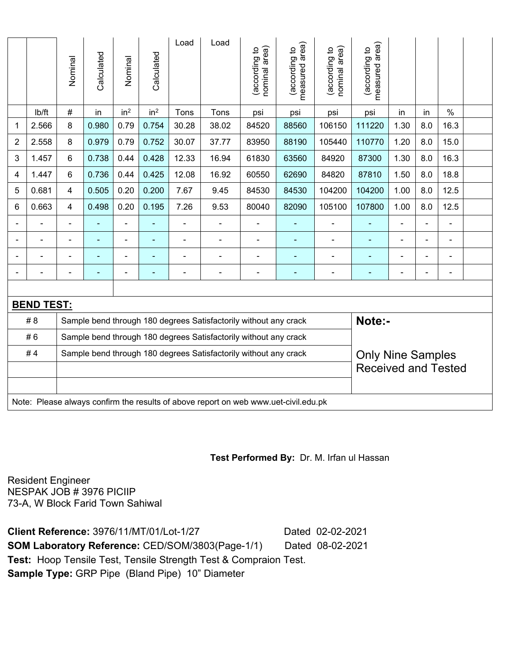|                |                   | Nominal                                                                                      | Calculated     | Nominal         | Calculated               | Load           | Load                                                                                | nominal area)<br>(according to | (according to<br>measured area) | nominal area)<br>(according to | area)<br>(according to<br>measured |                          |                |                |  |
|----------------|-------------------|----------------------------------------------------------------------------------------------|----------------|-----------------|--------------------------|----------------|-------------------------------------------------------------------------------------|--------------------------------|---------------------------------|--------------------------------|------------------------------------|--------------------------|----------------|----------------|--|
|                | lb/ft             | $\#$                                                                                         | in             | in <sup>2</sup> | in <sup>2</sup>          | Tons           | Tons                                                                                | psi                            | psi                             | psi                            | psi                                | in                       | in             | $\%$           |  |
| 1              | 2.566             | 8                                                                                            | 0.980          | 0.79            | 0.754                    | 30.28          | 38.02                                                                               | 84520                          | 88560                           | 106150                         | 111220                             | 1.30                     | 8.0            | 16.3           |  |
| $\overline{2}$ | 2.558             | 8                                                                                            | 0.979          | 0.79            | 0.752                    | 30.07          | 37.77                                                                               | 83950                          | 88190                           | 105440                         | 110770                             | 1.20                     | 8.0            | 15.0           |  |
| 3              | 1.457             | 6                                                                                            | 0.738          | 0.44            | 0.428                    | 12.33          | 16.94                                                                               | 61830                          | 63560                           | 84920                          | 87300                              | 1.30                     | 8.0            | 16.3           |  |
| 4              | 1.447             | 6                                                                                            | 0.736          | 0.44            | 0.425                    | 12.08          | 16.92                                                                               | 60550                          | 62690                           | 84820                          | 87810                              | 1.50                     | 8.0            | 18.8           |  |
| 5              | 0.681             | 4                                                                                            | 0.505          | 0.20            | 0.200                    | 7.67           | 9.45                                                                                | 84530                          | 84530                           | 104200                         | 104200                             | 1.00                     | 8.0            | 12.5           |  |
| 6              | 0.663             | $\overline{4}$                                                                               | 0.498          | 0.20            | 0.195                    | 7.26           | 9.53                                                                                | 80040                          | 82090                           | 105100                         | 107800                             | 1.00                     | 8.0            | 12.5           |  |
|                |                   |                                                                                              |                |                 |                          |                |                                                                                     |                                |                                 | $\blacksquare$                 |                                    |                          |                |                |  |
| $\overline{a}$ |                   |                                                                                              |                | $\blacksquare$  |                          | L              |                                                                                     |                                | ٠                               | $\blacksquare$                 | ۰                                  |                          | ÷              | $\blacksquare$ |  |
| $\blacksquare$ | $\blacksquare$    | $\blacksquare$                                                                               | $\blacksquare$ | ÷,              | ٠                        | ä,             | $\blacksquare$                                                                      | $\blacksquare$                 | $\blacksquare$                  | $\blacksquare$                 | ۰                                  | $\blacksquare$           | ÷              | $\blacksquare$ |  |
| $\blacksquare$ | $\blacksquare$    | -                                                                                            | $\blacksquare$ | ÷               | $\overline{\phantom{0}}$ | $\blacksquare$ | $\blacksquare$                                                                      | $\blacksquare$                 | $\overline{\phantom{0}}$        | $\overline{\phantom{0}}$       | ۰                                  | $\overline{\phantom{0}}$ | $\blacksquare$ | $\blacksquare$ |  |
|                |                   |                                                                                              |                |                 |                          |                |                                                                                     |                                |                                 |                                |                                    |                          |                |                |  |
|                | <b>BEND TEST:</b> |                                                                                              |                |                 |                          |                |                                                                                     |                                |                                 |                                |                                    |                          |                |                |  |
|                | # 8               |                                                                                              |                |                 |                          |                | Sample bend through 180 degrees Satisfactorily without any crack                    |                                |                                 |                                | Note:-                             |                          |                |                |  |
|                | #6                |                                                                                              |                |                 |                          |                | Sample bend through 180 degrees Satisfactorily without any crack                    |                                |                                 |                                |                                    |                          |                |                |  |
|                | #4                | Sample bend through 180 degrees Satisfactorily without any crack<br><b>Only Nine Samples</b> |                |                 |                          |                |                                                                                     |                                |                                 |                                |                                    |                          |                |                |  |
|                |                   |                                                                                              |                |                 |                          |                |                                                                                     |                                |                                 |                                | <b>Received and Tested</b>         |                          |                |                |  |
|                |                   |                                                                                              |                |                 |                          |                |                                                                                     |                                |                                 |                                |                                    |                          |                |                |  |
|                |                   |                                                                                              |                |                 |                          |                | Note: Please always confirm the results of above report on web www.uet-civil.edu.pk |                                |                                 |                                |                                    |                          |                |                |  |

## **Test Performed By:** Dr. M. Irfan ul Hassan

Resident Engineer NESPAK JOB # 3976 PICIIP 73-A, W Block Farid Town Sahiwal

**Client Reference:** 3976/11/MT/01/Lot-1/27 Dated 02-02-2021 **SOM Laboratory Reference:** CED/SOM/3803(Page-1/1) Dated 08-02-2021 **Test:** Hoop Tensile Test, Tensile Strength Test & Compraion Test. **Sample Type:** GRP Pipe (Bland Pipe) 10" Diameter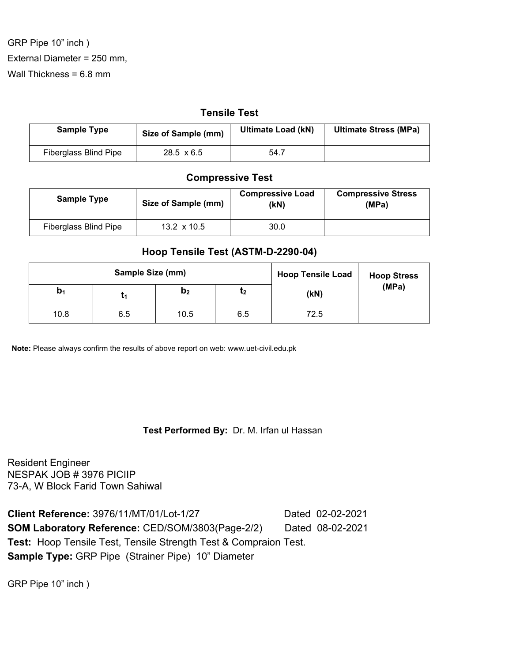GRP Pipe 10" inch ) External Diameter = 250 mm, Wall Thickness = 6.8 mm

### **Tensile Test**

| <b>Sample Type</b>           | Size of Sample (mm) | <b>Ultimate Load (kN)</b> | <b>Ultimate Stress (MPa)</b> |
|------------------------------|---------------------|---------------------------|------------------------------|
| <b>Fiberglass Blind Pipe</b> | $28.5 \times 6.5$   | 54.7                      |                              |

## **Compressive Test**

| <b>Sample Type</b>    |                    | <b>Compressive Load</b> | <b>Compressive Stress</b> |
|-----------------------|--------------------|-------------------------|---------------------------|
| Size of Sample (mm)   |                    | (kN)                    | (MPa)                     |
| Fiberglass Blind Pipe | 13.2 $\times$ 10.5 | 30.0                    |                           |

## **Hoop Tensile Test (ASTM-D-2290-04)**

| Sample Size (mm) |     |                | <b>Hoop Tensile Load</b> | <b>Hoop Stress</b> |       |
|------------------|-----|----------------|--------------------------|--------------------|-------|
| $\mathbf{b}_1$   |     | D <sub>2</sub> | τ2                       | (KN)               | (MPa) |
| 10.8             | 6.5 | 10.5           | 6.5                      | 72.5               |       |

 **Note:** Please always confirm the results of above report on web: www.uet-civil.edu.pk

## **Test Performed By:** Dr. M. Irfan ul Hassan

Resident Engineer NESPAK JOB # 3976 PICIIP 73-A, W Block Farid Town Sahiwal

**Client Reference:** 3976/11/MT/01/Lot-1/27 Dated 02-02-2021 **SOM Laboratory Reference: CED/SOM/3803(Page-2/2)** Dated 08-02-2021 **Test:** Hoop Tensile Test, Tensile Strength Test & Compraion Test. **Sample Type:** GRP Pipe (Strainer Pipe) 10" Diameter

GRP Pipe 10" inch )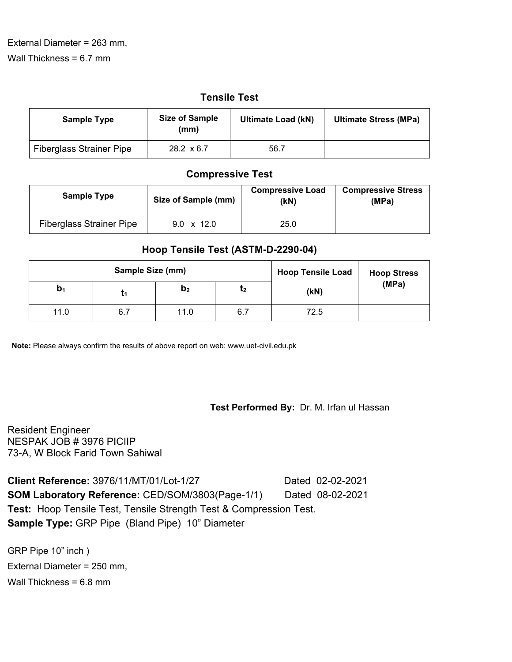# **Tensile Test**

| <b>Sample Type</b>              | <b>Size of Sample</b><br>(mm) | <b>Ultimate Load (kN)</b> | <b>Ultimate Stress (MPa)</b> |
|---------------------------------|-------------------------------|---------------------------|------------------------------|
| <b>Fiberglass Strainer Pipe</b> | $28.2 \times 6.7$             | 56.7                      |                              |

# **Compressive Test**

| <b>Sample Type</b>              | Size of Sample (mm) | <b>Compressive Load</b><br>(kN) | <b>Compressive Stress</b><br>(MPa) |
|---------------------------------|---------------------|---------------------------------|------------------------------------|
| <b>Fiberglass Strainer Pipe</b> | 9.0 $\times$ 12.0   | 25.0                            |                                    |

# **Hoop Tensile Test (ASTM-D-2290-04)**

| Sample Size (mm) |     |                | <b>Hoop Tensile Load</b> | <b>Hoop Stress</b> |       |
|------------------|-----|----------------|--------------------------|--------------------|-------|
| $\mathbf{b}_1$   | ι1  | b <sub>2</sub> | ւշ                       | (kN)               | (MPa) |
| 11.0             | 6.7 | 11.0           | 6.7                      | 72.5               |       |

 **Note:** Please always confirm the results of above report on web: www.uet-civil.edu.pk

## **Test Performed By:** Dr. M. Irfan ul Hassan

Resident Engineer NESPAK JOB # 3976 PICIIP 73-A, W Block Farid Town Sahiwal

**Client Reference:** 3976/11/MT/01/Lot-1/27 Dated 02-02-2021 **SOM Laboratory Reference:** CED/SOM/3803(Page-1/1) Dated 08-02-2021 **Test:** Hoop Tensile Test, Tensile Strength Test & Compression Test. **Sample Type:** GRP Pipe (Bland Pipe) 10" Diameter

GRP Pipe 10" inch ) External Diameter = 250 mm, Wall Thickness = 6.8 mm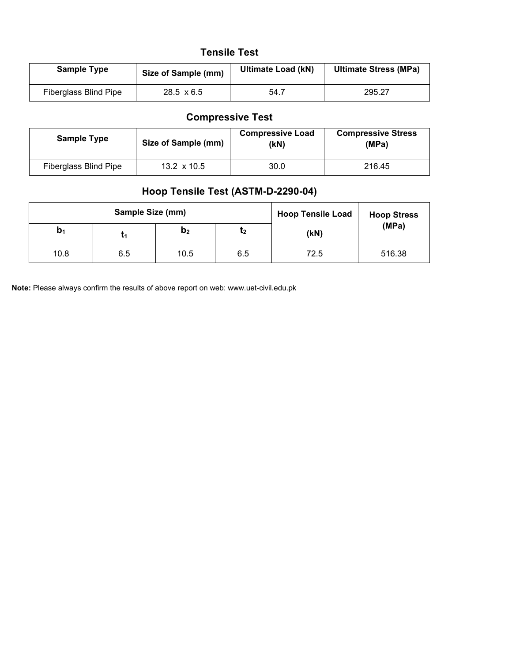# **Tensile Test**

| <b>Sample Type</b>    | Size of Sample (mm) | <b>Ultimate Load (kN)</b> | <b>Ultimate Stress (MPa)</b> |
|-----------------------|---------------------|---------------------------|------------------------------|
| Fiberglass Blind Pipe | $28.5 \times 6.5$   | 54.7                      | 295.27                       |

# **Compressive Test**

| <b>Sample Type</b>           | Size of Sample (mm) |      | <b>Compressive Stress</b><br>(MPa) |
|------------------------------|---------------------|------|------------------------------------|
| <b>Fiberglass Blind Pipe</b> | 13.2 $\times$ 10.5  | 30.0 | 216.45                             |

# **Hoop Tensile Test (ASTM-D-2290-04)**

| Sample Size (mm) |     |                | <b>Hoop Tensile Load</b> | <b>Hoop Stress</b> |        |
|------------------|-----|----------------|--------------------------|--------------------|--------|
| $D_1$            |     | b <sub>2</sub> | ι2                       | (kN)               | (MPa)  |
| 10.8             | 6.5 | 10.5           | 6.5                      | 72.5               | 516.38 |

 **Note:** Please always confirm the results of above report on web: www.uet-civil.edu.pk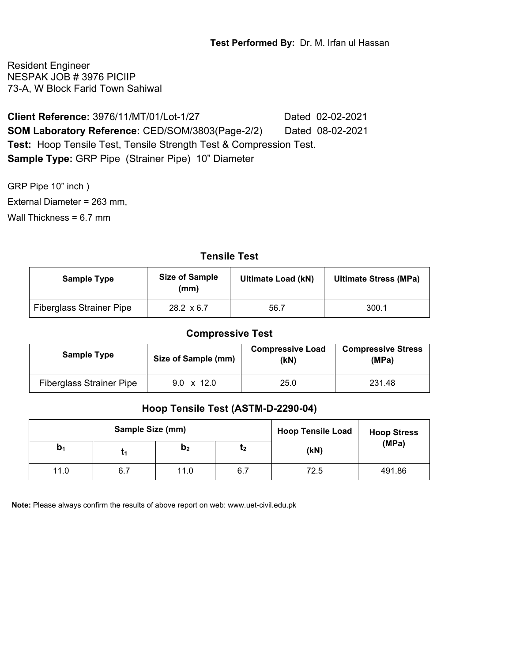Resident Engineer NESPAK JOB # 3976 PICIIP 73-A, W Block Farid Town Sahiwal

**Client Reference:** 3976/11/MT/01/Lot-1/27 Dated 02-02-2021 **SOM Laboratory Reference:** CED/SOM/3803(Page-2/2) Dated 08-02-2021 **Test:** Hoop Tensile Test, Tensile Strength Test & Compression Test. **Sample Type:** GRP Pipe (Strainer Pipe) 10" Diameter

GRP Pipe 10" inch ) External Diameter = 263 mm, Wall Thickness = 6.7 mm

# **Tensile Test**

| <b>Sample Type</b>              | <b>Size of Sample</b><br>(mm) | <b>Ultimate Load (kN)</b> | <b>Ultimate Stress (MPa)</b> |
|---------------------------------|-------------------------------|---------------------------|------------------------------|
| <b>Fiberglass Strainer Pipe</b> | $28.2 \times 6.7$             | 56.7                      | 300.1                        |

## **Compressive Test**

| <b>Sample Type</b>              | Size of Sample (mm) | <b>Compressive Load</b><br>(kN) | <b>Compressive Stress</b><br>(MPa) |
|---------------------------------|---------------------|---------------------------------|------------------------------------|
| <b>Fiberglass Strainer Pipe</b> | $9.0 \times 12.0$   | 25.0                            | 231.48                             |

## **Hoop Tensile Test (ASTM-D-2290-04)**

|       | Sample Size (mm) |                |     | <b>Hoop Tensile Load</b> |        | <b>Hoop Stress</b> |
|-------|------------------|----------------|-----|--------------------------|--------|--------------------|
| $D_1$ |                  | b <sub>2</sub> | ι2  | (kN)                     | (MPa)  |                    |
| 11.0  | 6.7              | 11.0           | 6.7 | 72.5                     | 491.86 |                    |

 **Note:** Please always confirm the results of above report on web: www.uet-civil.edu.pk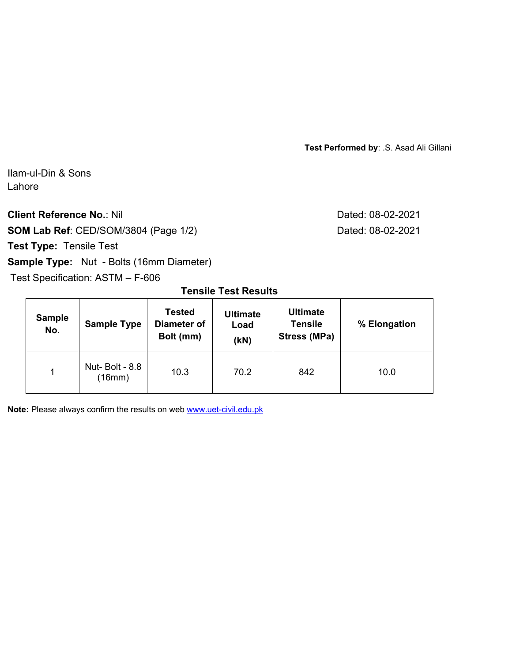**Test Performed by**: .S. Asad Ali Gillani

Ilam-ul-Din & Sons Lahore

**Client Reference No.: Nil Client Reference No.: Nil Dated: 08-02-2021** 

**SOM Lab Ref**: CED/SOM/3804 (Page 1/2) Dated: 08-02-2021

**Test Type:** Tensile Test

# **Sample Type:** Nut - Bolts (16mm Diameter)

Test Specification: ASTM – F-606

# **Tensile Test Results**

| <b>Sample</b><br>No. | <b>Sample Type</b>              | <b>Tested</b><br><b>Diameter of</b><br>Bolt (mm) | <b>Ultimate</b><br>Load<br>(kN) | <b>Ultimate</b><br><b>Tensile</b><br>Stress (MPa) | % Elongation |
|----------------------|---------------------------------|--------------------------------------------------|---------------------------------|---------------------------------------------------|--------------|
| $\blacktriangleleft$ | <b>Nut-Bolt - 8.8</b><br>(16mm) | 10.3                                             | 70.2                            | 842                                               | 10.0         |

**Note:** Please always confirm the results on web www.uet-civil.edu.pk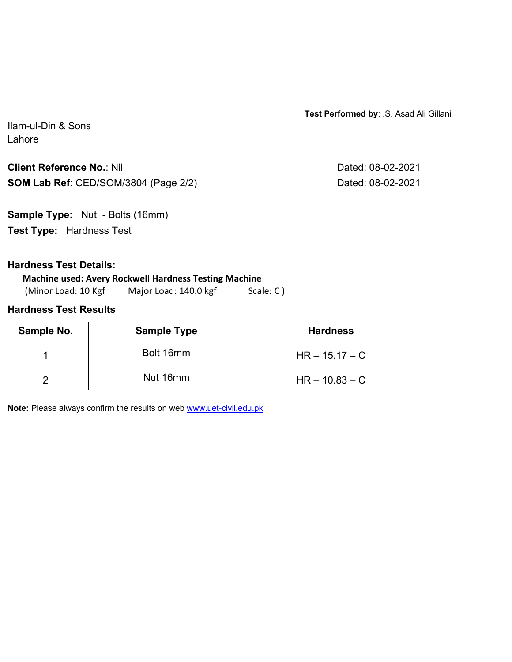**Test Performed by**: .S. Asad Ali Gillani

Ilam-ul-Din & Sons Lahore

**Client Reference No.: Nil Client Reference No.: Nil Dated: 08-02-2021 SOM Lab Ref**: CED/SOM/3804 (Page 2/2) Dated: 08-02-2021

**Sample Type:** Nut - Bolts (16mm) **Test Type:** Hardness Test

## **Hardness Test Details:**

**Machine used: Avery Rockwell Hardness Testing Machine** (Minor Load: 10 Kgf Major Load: 140.0 kgf Scale: C)

# **Hardness Test Results**

| Sample No. | <b>Sample Type</b> | <b>Hardness</b>  |
|------------|--------------------|------------------|
|            | Bolt 16mm          | $HR - 15.17 - C$ |
|            | Nut 16mm           | $HR - 10.83 - C$ |

**Note:** Please always confirm the results on web www.uet-civil.edu.pk